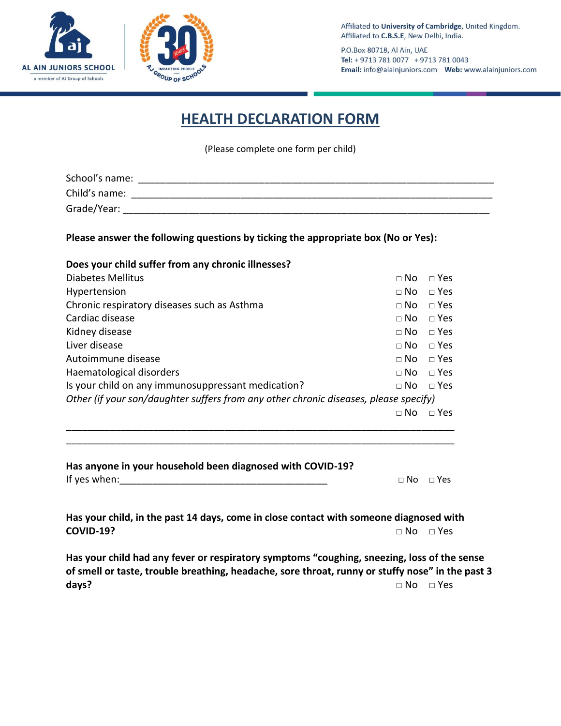



P.O.Box 80718, Al Ain, UAE Tel: + 9713 781 0077 + 9713 781 0043 

## **HEALTH DECLARATION FORM**

(Please complete one form per child)

| School's name: |  |
|----------------|--|
| Child's name:  |  |
| Grade/Year:    |  |

**Please answer the following questions by ticking the appropriate box (No or Yes):**

| Does your child suffer from any chronic illnesses?                                   |             |            |
|--------------------------------------------------------------------------------------|-------------|------------|
| Diabetes Mellitus                                                                    | $\sqcap$ No | $\Box$ Yes |
| Hypertension                                                                         | $\sqcap$ No | $\Box$ Yes |
| Chronic respiratory diseases such as Asthma                                          | $\sqcap$ No | $\Box$ Yes |
| Cardiac disease                                                                      | $\sqcap$ No | $\Box$ Yes |
| Kidney disease                                                                       | $\sqcap$ No | $\Box$ Yes |
| Liver disease                                                                        | $\sqcap$ No | $\Box$ Yes |
| Autoimmune disease                                                                   | $\sqcap$ No | $\Box$ Yes |
| Haematological disorders                                                             | $\sqcap$ No | $\Box$ Yes |
| Is your child on any immunosuppressant medication?                                   | $\sqcap$ No | $\Box$ Yes |
| Other (if your son/daughter suffers from any other chronic diseases, please specify) |             |            |
|                                                                                      | $\sqcap$ No | $\Box$ Yes |
|                                                                                      |             |            |

\_\_\_\_\_\_\_\_\_\_\_\_\_\_\_\_\_\_\_\_\_\_\_\_\_\_\_\_\_\_\_\_\_\_\_\_\_\_\_\_\_\_\_\_\_\_\_\_\_\_\_\_\_\_\_\_\_\_\_\_\_\_\_\_\_\_\_\_\_\_\_

| Has anyone in your household been diagnosed with COVID-19? |                      |  |
|------------------------------------------------------------|----------------------|--|
| If yes when:                                               | $\Box$ No $\Box$ Yes |  |

**Has your child, in the past 14 days, come in close contact with someone diagnosed with COVID-19?** □ No □ Yes

**Has your child had any fever or respiratory symptoms "coughing, sneezing, loss of the sense of smell or taste, trouble breathing, headache, sore throat, runny or stuffy nose" in the past 3**  days? □ No □ Yes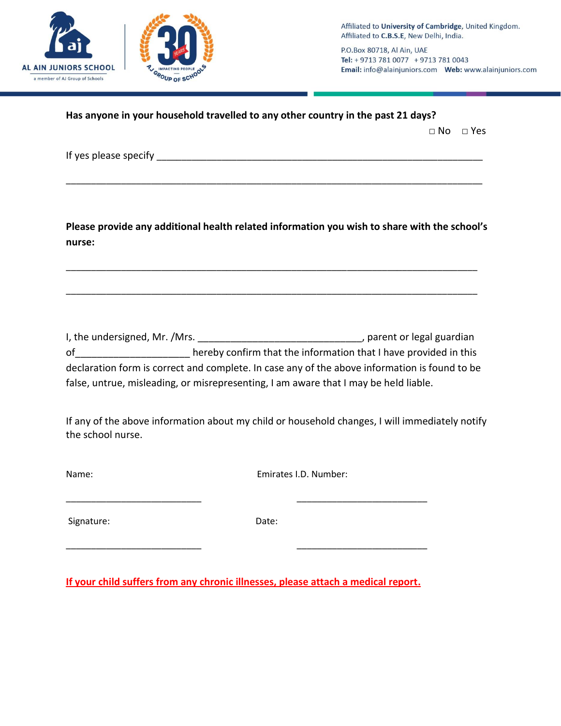

P.O.Box 80718, Al Ain, UAE Tel: + 9713 781 0077 + 9713 781 0043 Email: info@alainjuniors.com Web: www.alainjuniors.com

|                            |                                                                                                                                                                                                                                                                                       | $\Box$ No $\Box$ Yes |
|----------------------------|---------------------------------------------------------------------------------------------------------------------------------------------------------------------------------------------------------------------------------------------------------------------------------------|----------------------|
|                            |                                                                                                                                                                                                                                                                                       |                      |
| nurse:                     | Please provide any additional health related information you wish to share with the school's                                                                                                                                                                                          |                      |
|                            |                                                                                                                                                                                                                                                                                       |                      |
|                            | of ________________________ hereby confirm that the information that I have provided in this<br>declaration form is correct and complete. In case any of the above information is found to be<br>false, untrue, misleading, or misrepresenting, I am aware that I may be held liable. |                      |
|                            | If any of the above information about my child or household changes, I will immediately notify                                                                                                                                                                                        |                      |
|                            | Emirates I.D. Number:                                                                                                                                                                                                                                                                 |                      |
| the school nurse.<br>Name: |                                                                                                                                                                                                                                                                                       |                      |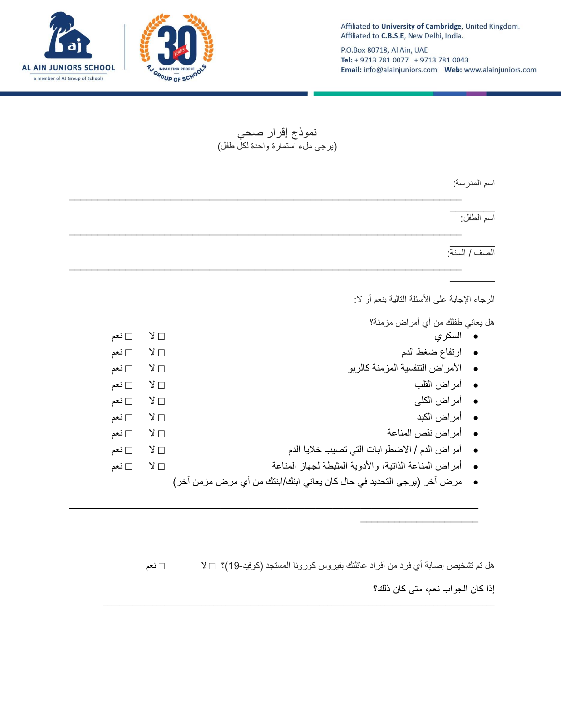

\_\_\_\_\_\_\_\_\_\_\_\_\_\_\_\_\_\_\_\_\_

P.O.Box 80718, Al Ain, UAE Tel: + 9713 781 0077 + 9713 781 0043 Email: info@alainjuniors.com Web: www.alainjuniors.com

نموذج إقرار صحً )ٌرجى ملء استمارة واحدة لكل طفل(

| اسم الطفل:                                              |                  |       |
|---------------------------------------------------------|------------------|-------|
|                                                         |                  |       |
| الصف / السنة:                                           |                  |       |
|                                                         |                  |       |
|                                                         |                  |       |
| الرجاء الإجابة على الأسئلة التالية بنعم أو لا:          |                  |       |
| هل يعاني طفلك من أي أمراض مزمنة؟                        |                  |       |
| • السكري                                                | $Y \Box$         | ⊡ نعم |
| • ارتفاع ضغط الدم                                       | $\lambda \Box$   | ⊡ نعم |
| • الأمراض التنفسية المزمنة كالربو                       | $Y \Box$         | ∏ ٺعم |
| •    أمراض القلب                                        | $\sqrt{2}$       | ⊡ نعم |
| •    أمراض الكلي                                        | $\vee$ $\square$ | ∏ ٺعم |
| •    أمراض الكبد                                        | $Y \Box$         | ⊡ نعم |
| • أمراض نقص المناعة                                     | ⊡ צ              | ⊡ نعم |
|                                                         | $Y \Box$         | ⊡ نعم |
| ●     أمر اض الدم / الاضطر ابات التي تصيب خلايا الدم    |                  | ∏ ٺعم |
| • أمراض المناعة الذانية، والأدوية المثبطة لجهاز المناعة | $Y \Box$         |       |

هل تم تشخيص إصابة أي فرد من أفراد عائلتك بفيروس كورونا المستجد (كوفيد-19)؟ □ لا □ □ i= □ نعم إذا كان الجواب نعم، متى كان ذلك؟

\_\_\_\_\_\_\_\_\_\_\_\_\_\_\_\_\_\_\_\_\_\_\_\_\_\_\_\_\_\_\_\_\_\_\_\_\_\_\_\_\_\_\_\_\_\_\_\_\_\_\_\_\_\_\_\_\_\_\_\_\_\_\_\_\_\_\_\_\_\_\_\_\_\_\_\_\_\_\_\_\_\_\_\_\_\_\_\_\_\_\_\_\_\_\_\_